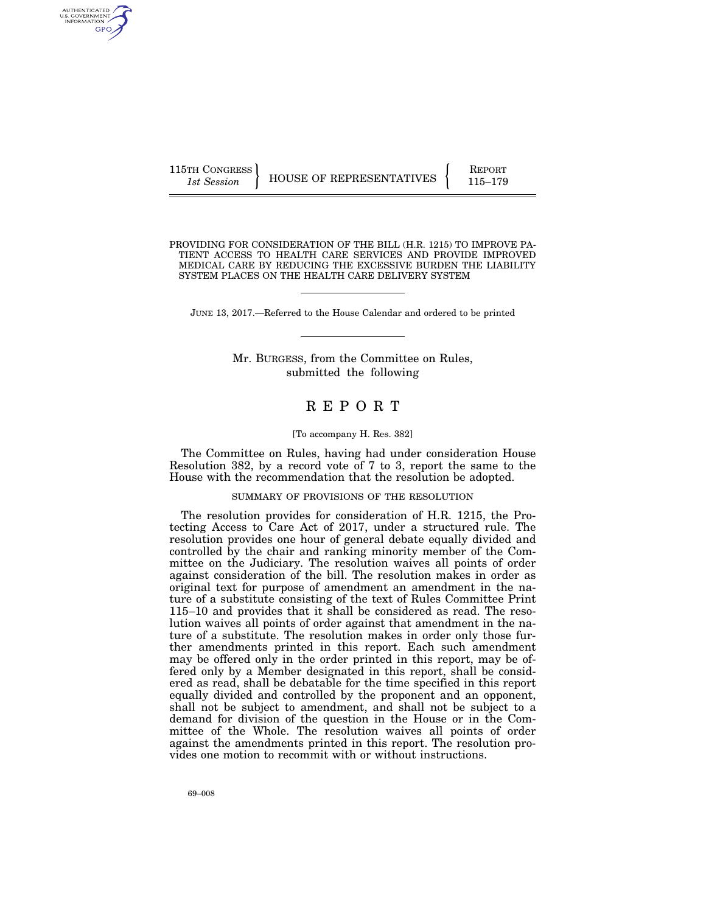115TH CONGRESS HOUSE OF REPRESENTATIVES FEPORT 115–179

PROVIDING FOR CONSIDERATION OF THE BILL (H.R. 1215) TO IMPROVE PA-TIENT ACCESS TO HEALTH CARE SERVICES AND PROVIDE IMPROVED MEDICAL CARE BY REDUCING THE EXCESSIVE BURDEN THE LIABILITY SYSTEM PLACES ON THE HEALTH CARE DELIVERY SYSTEM

JUNE 13, 2017.—Referred to the House Calendar and ordered to be printed

Mr. BURGESS, from the Committee on Rules, submitted the following

# R E P O R T

#### [To accompany H. Res. 382]

The Committee on Rules, having had under consideration House Resolution 382, by a record vote of 7 to 3, report the same to the House with the recommendation that the resolution be adopted.

# SUMMARY OF PROVISIONS OF THE RESOLUTION

The resolution provides for consideration of H.R. 1215, the Protecting Access to Care Act of 2017, under a structured rule. The resolution provides one hour of general debate equally divided and controlled by the chair and ranking minority member of the Committee on the Judiciary. The resolution waives all points of order against consideration of the bill. The resolution makes in order as original text for purpose of amendment an amendment in the nature of a substitute consisting of the text of Rules Committee Print 115–10 and provides that it shall be considered as read. The resolution waives all points of order against that amendment in the nature of a substitute. The resolution makes in order only those further amendments printed in this report. Each such amendment may be offered only in the order printed in this report, may be offered only by a Member designated in this report, shall be considered as read, shall be debatable for the time specified in this report equally divided and controlled by the proponent and an opponent, shall not be subject to amendment, and shall not be subject to a demand for division of the question in the House or in the Committee of the Whole. The resolution waives all points of order against the amendments printed in this report. The resolution provides one motion to recommit with or without instructions.

69–008

AUTHENTICATED U.S. GOVERNMENT GPO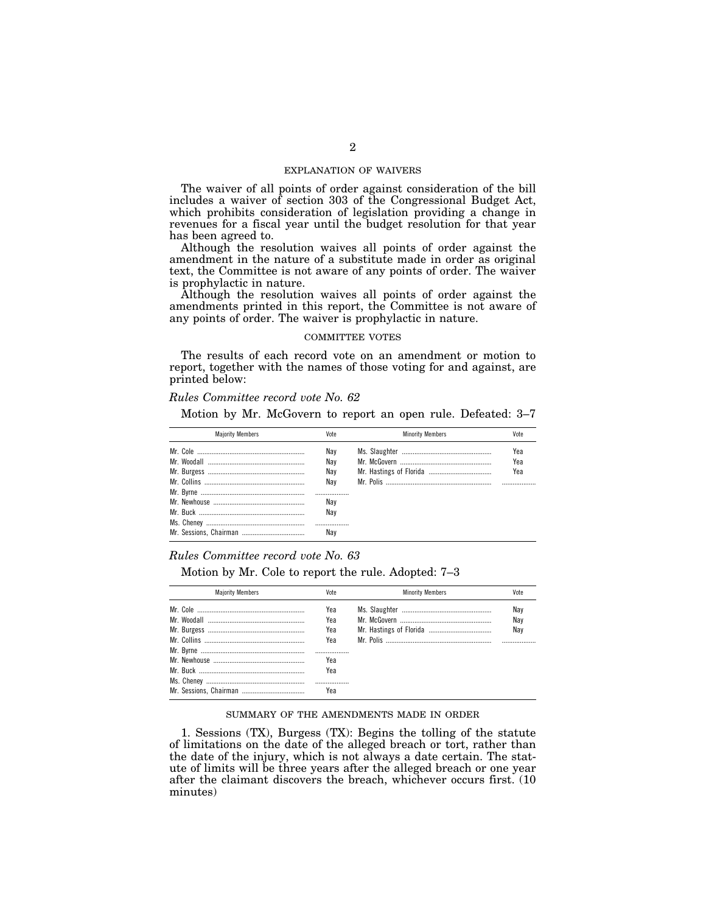#### EXPLANATION OF WAIVERS

The waiver of all points of order against consideration of the bill includes a waiver of section 303 of the Congressional Budget Act, which prohibits consideration of legislation providing a change in revenues for a fiscal year until the budget resolution for that year has been agreed to.

Although the resolution waives all points of order against the amendment in the nature of a substitute made in order as original text, the Committee is not aware of any points of order. The waiver is prophylactic in nature.

Although the resolution waives all points of order against the amendments printed in this report, the Committee is not aware of any points of order. The waiver is prophylactic in nature.

## COMMITTEE VOTES

The results of each record vote on an amendment or motion to report, together with the names of those voting for and against, are printed below:

#### *Rules Committee record vote No. 62*

Motion by Mr. McGovern to report an open rule. Defeated: 3–7

| <b>Maiority Members</b> | Vote | <b>Minority Members</b> | Vote |
|-------------------------|------|-------------------------|------|
|                         | Nav  |                         | Yea  |
|                         | Nav  |                         | Yea  |
|                         | Nav  |                         | Yea  |
|                         | Nav  |                         |      |
|                         |      |                         |      |
|                         | Nav  |                         |      |
|                         | Nav  |                         |      |
|                         |      |                         |      |
|                         | Nav  |                         |      |

# *Rules Committee record vote No. 63*

Motion by Mr. Cole to report the rule. Adopted: 7–3

| <b>Majority Members</b> | Vote | <b>Minority Members</b> | Vote |
|-------------------------|------|-------------------------|------|
|                         | Yea  |                         | Nav  |
|                         | Yea  |                         | Nav  |
|                         | Yea  |                         | Nav  |
|                         | Yea  |                         |      |
|                         |      |                         |      |
|                         | Yea  |                         |      |
|                         | Yea  |                         |      |
|                         |      |                         |      |
|                         | Yea  |                         |      |

#### SUMMARY OF THE AMENDMENTS MADE IN ORDER

1. Sessions (TX), Burgess (TX): Begins the tolling of the statute of limitations on the date of the alleged breach or tort, rather than the date of the injury, which is not always a date certain. The statute of limits will be three years after the alleged breach or one year after the claimant discovers the breach, whichever occurs first. (10 minutes)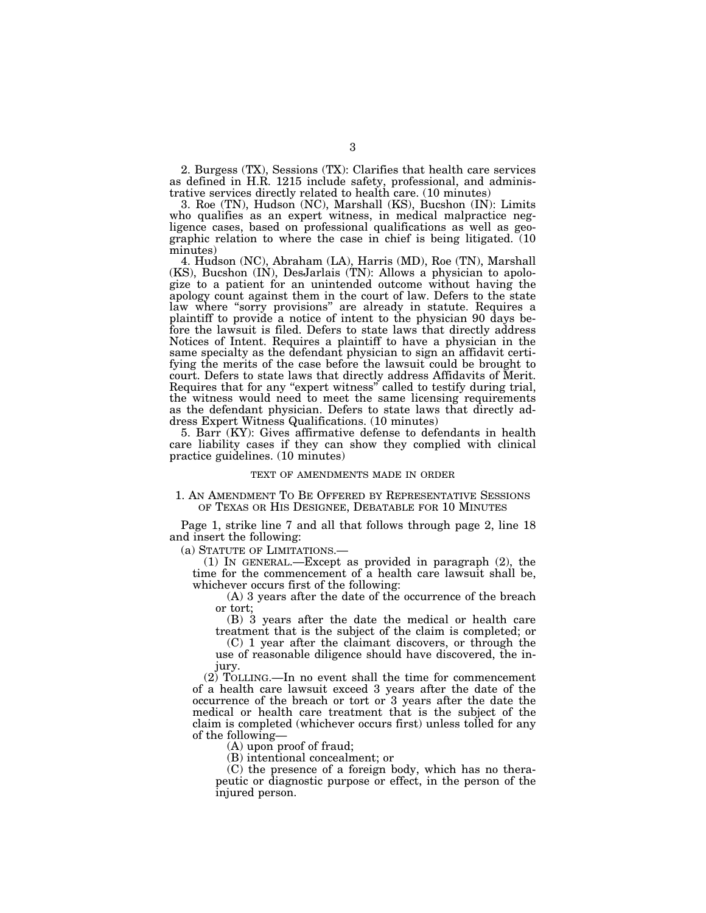2. Burgess (TX), Sessions (TX): Clarifies that health care services as defined in H.R. 1215 include safety, professional, and administrative services directly related to health care. (10 minutes)

3. Roe (TN), Hudson (NC), Marshall (KS), Bucshon (IN): Limits who qualifies as an expert witness, in medical malpractice negligence cases, based on professional qualifications as well as geographic relation to where the case in chief is being litigated. (10 minutes)

4. Hudson (NC), Abraham (LA), Harris (MD), Roe (TN), Marshall (KS), Bucshon (IN), DesJarlais (TN): Allows a physician to apologize to a patient for an unintended outcome without having the apology count against them in the court of law. Defers to the state law where "sorry provisions" are already in statute. Requires a plaintiff to provide a notice of intent to the physician 90 days before the lawsuit is filed. Defers to state laws that directly address Notices of Intent. Requires a plaintiff to have a physician in the same specialty as the defendant physician to sign an affidavit certifying the merits of the case before the lawsuit could be brought to court. Defers to state laws that directly address Affidavits of Merit. Requires that for any "expert witness" called to testify during trial, the witness would need to meet the same licensing requirements as the defendant physician. Defers to state laws that directly address Expert Witness Qualifications. (10 minutes)

5. Barr (KY): Gives affirmative defense to defendants in health care liability cases if they can show they complied with clinical practice guidelines. (10 minutes)

#### TEXT OF AMENDMENTS MADE IN ORDER

# 1. AN AMENDMENT TO BE OFFERED BY REPRESENTATIVE SESSIONS OF TEXAS OR HIS DESIGNEE, DEBATABLE FOR 10 MINUTES

Page 1, strike line 7 and all that follows through page 2, line 18 and insert the following:

(a) STATUTE OF LIMITATIONS.—

(1) IN GENERAL.—Except as provided in paragraph (2), the time for the commencement of a health care lawsuit shall be, whichever occurs first of the following:

(A) 3 years after the date of the occurrence of the breach or tort;

(B) 3 years after the date the medical or health care treatment that is the subject of the claim is completed; or

(C) 1 year after the claimant discovers, or through the use of reasonable diligence should have discovered, the injury.

(2) TOLLING.—In no event shall the time for commencement of a health care lawsuit exceed 3 years after the date of the occurrence of the breach or tort or 3 years after the date the medical or health care treatment that is the subject of the claim is completed (whichever occurs first) unless tolled for any of the following—

(A) upon proof of fraud;

(B) intentional concealment; or

(C) the presence of a foreign body, which has no therapeutic or diagnostic purpose or effect, in the person of the injured person.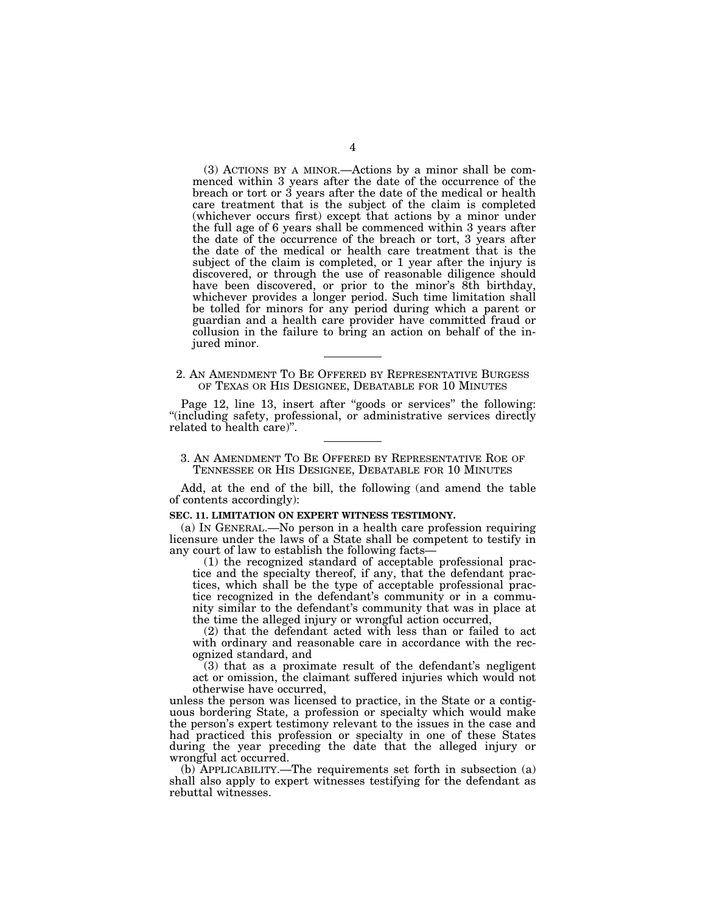(3) ACTIONS BY A MINOR.—Actions by a minor shall be commenced within 3 years after the date of the occurrence of the breach or tort or 3 years after the date of the medical or health care treatment that is the subject of the claim is completed (whichever occurs first) except that actions by a minor under the full age of 6 years shall be commenced within 3 years after the date of the occurrence of the breach or tort, 3 years after the date of the medical or health care treatment that is the subject of the claim is completed, or 1 year after the injury is discovered, or through the use of reasonable diligence should have been discovered, or prior to the minor's 8th birthday, whichever provides a longer period. Such time limitation shall be tolled for minors for any period during which a parent or guardian and a health care provider have committed fraud or collusion in the failure to bring an action on behalf of the injured minor.

# 2. AN AMENDMENT TO BE OFFERED BY REPRESENTATIVE BURGESS OF TEXAS OR HIS DESIGNEE, DEBATABLE FOR 10 MINUTES

Page 12, line 13, insert after "goods or services" the following: "(including safety, professional, or administrative services directly related to health care)''.

# 3. AN AMENDMENT TO BE OFFERED BY REPRESENTATIVE ROE OF TENNESSEE OR HIS DESIGNEE, DEBATABLE FOR 10 MINUTES

Add, at the end of the bill, the following (and amend the table of contents accordingly):

# **SEC. 11. LIMITATION ON EXPERT WITNESS TESTIMONY.**

(a) IN GENERAL.—No person in a health care profession requiring licensure under the laws of a State shall be competent to testify in any court of law to establish the following facts—

(1) the recognized standard of acceptable professional practice and the specialty thereof, if any, that the defendant practices, which shall be the type of acceptable professional practice recognized in the defendant's community or in a community similar to the defendant's community that was in place at the time the alleged injury or wrongful action occurred,

(2) that the defendant acted with less than or failed to act with ordinary and reasonable care in accordance with the recognized standard, and

(3) that as a proximate result of the defendant's negligent act or omission, the claimant suffered injuries which would not otherwise have occurred,

unless the person was licensed to practice, in the State or a contiguous bordering State, a profession or specialty which would make the person's expert testimony relevant to the issues in the case and had practiced this profession or specialty in one of these States during the year preceding the date that the alleged injury or wrongful act occurred.

(b) APPLICABILITY.—The requirements set forth in subsection (a) shall also apply to expert witnesses testifying for the defendant as rebuttal witnesses.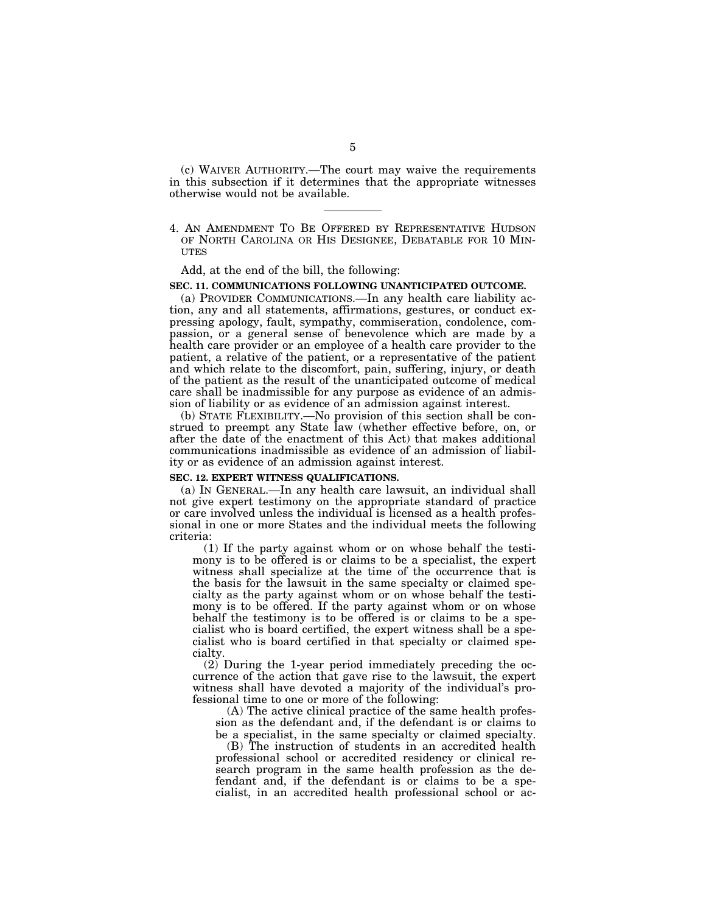(c) WAIVER AUTHORITY.—The court may waive the requirements in this subsection if it determines that the appropriate witnesses otherwise would not be available.

4. AN AMENDMENT TO BE OFFERED BY REPRESENTATIVE HUDSON OF NORTH CAROLINA OR HIS DESIGNEE, DEBATABLE FOR 10 MIN-UTES

Add, at the end of the bill, the following:

# **SEC. 11. COMMUNICATIONS FOLLOWING UNANTICIPATED OUTCOME.**

(a) PROVIDER COMMUNICATIONS.—In any health care liability action, any and all statements, affirmations, gestures, or conduct expressing apology, fault, sympathy, commiseration, condolence, compassion, or a general sense of benevolence which are made by a health care provider or an employee of a health care provider to the patient, a relative of the patient, or a representative of the patient and which relate to the discomfort, pain, suffering, injury, or death of the patient as the result of the unanticipated outcome of medical care shall be inadmissible for any purpose as evidence of an admission of liability or as evidence of an admission against interest.

(b) STATE FLEXIBILITY.—No provision of this section shall be construed to preempt any State law (whether effective before, on, or after the date of the enactment of this Act) that makes additional communications inadmissible as evidence of an admission of liability or as evidence of an admission against interest.

#### **SEC. 12. EXPERT WITNESS QUALIFICATIONS.**

(a) IN GENERAL.—In any health care lawsuit, an individual shall not give expert testimony on the appropriate standard of practice or care involved unless the individual is licensed as a health professional in one or more States and the individual meets the following criteria:

(1) If the party against whom or on whose behalf the testimony is to be offered is or claims to be a specialist, the expert witness shall specialize at the time of the occurrence that is the basis for the lawsuit in the same specialty or claimed specialty as the party against whom or on whose behalf the testimony is to be offered. If the party against whom or on whose behalf the testimony is to be offered is or claims to be a specialist who is board certified, the expert witness shall be a specialist who is board certified in that specialty or claimed specialty.

(2) During the 1-year period immediately preceding the occurrence of the action that gave rise to the lawsuit, the expert witness shall have devoted a majority of the individual's professional time to one or more of the following:

(A) The active clinical practice of the same health profession as the defendant and, if the defendant is or claims to be a specialist, in the same specialty or claimed specialty.

(B) The instruction of students in an accredited health professional school or accredited residency or clinical research program in the same health profession as the defendant and, if the defendant is or claims to be a specialist, in an accredited health professional school or ac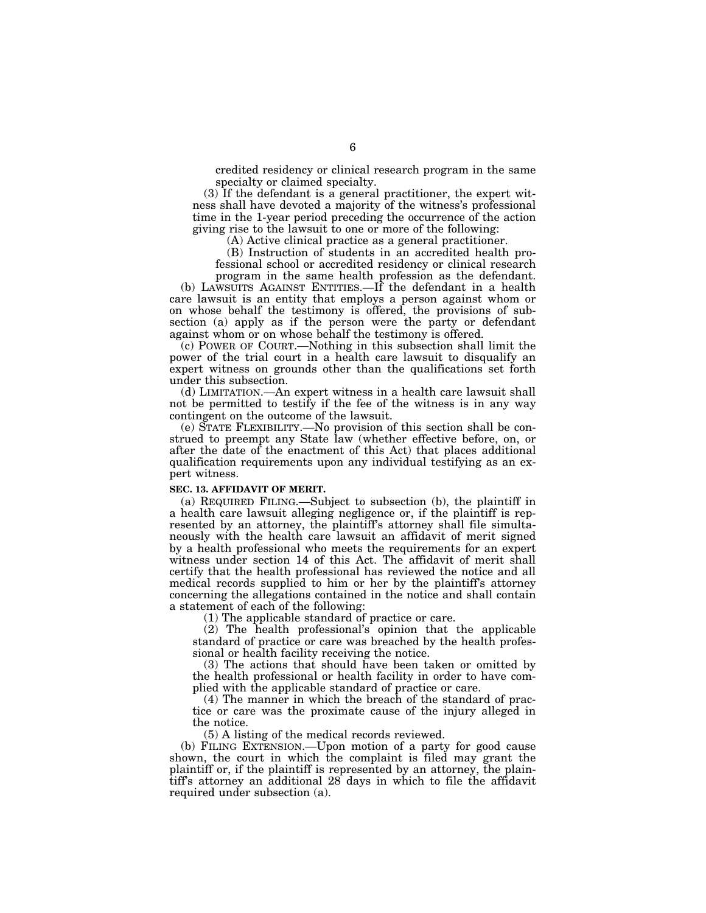credited residency or clinical research program in the same specialty or claimed specialty.

(3) If the defendant is a general practitioner, the expert witness shall have devoted a majority of the witness's professional time in the 1-year period preceding the occurrence of the action giving rise to the lawsuit to one or more of the following:

(A) Active clinical practice as a general practitioner.

(B) Instruction of students in an accredited health professional school or accredited residency or clinical research

program in the same health profession as the defendant. (b) LAWSUITS AGAINST ENTITIES.—If the defendant in a health

care lawsuit is an entity that employs a person against whom or on whose behalf the testimony is offered, the provisions of subsection (a) apply as if the person were the party or defendant against whom or on whose behalf the testimony is offered.

(c) POWER OF COURT.—Nothing in this subsection shall limit the power of the trial court in a health care lawsuit to disqualify an expert witness on grounds other than the qualifications set forth under this subsection.

(d) LIMITATION.—An expert witness in a health care lawsuit shall not be permitted to testify if the fee of the witness is in any way contingent on the outcome of the lawsuit.

(e) STATE FLEXIBILITY.—No provision of this section shall be construed to preempt any State law (whether effective before, on, or after the date of the enactment of this Act) that places additional qualification requirements upon any individual testifying as an expert witness.

#### **SEC. 13. AFFIDAVIT OF MERIT.**

(a) REQUIRED FILING.—Subject to subsection (b), the plaintiff in a health care lawsuit alleging negligence or, if the plaintiff is represented by an attorney, the plaintiff's attorney shall file simultaneously with the health care lawsuit an affidavit of merit signed by a health professional who meets the requirements for an expert witness under section 14 of this Act. The affidavit of merit shall certify that the health professional has reviewed the notice and all medical records supplied to him or her by the plaintiff's attorney concerning the allegations contained in the notice and shall contain a statement of each of the following:

(1) The applicable standard of practice or care.

(2) The health professional's opinion that the applicable standard of practice or care was breached by the health professional or health facility receiving the notice.

(3) The actions that should have been taken or omitted by the health professional or health facility in order to have complied with the applicable standard of practice or care.

(4) The manner in which the breach of the standard of practice or care was the proximate cause of the injury alleged in the notice.

(5) A listing of the medical records reviewed.

(b) FILING EXTENSION.—Upon motion of a party for good cause shown, the court in which the complaint is filed may grant the plaintiff or, if the plaintiff is represented by an attorney, the plaintiff's attorney an additional 28 days in which to file the affidavit required under subsection (a).